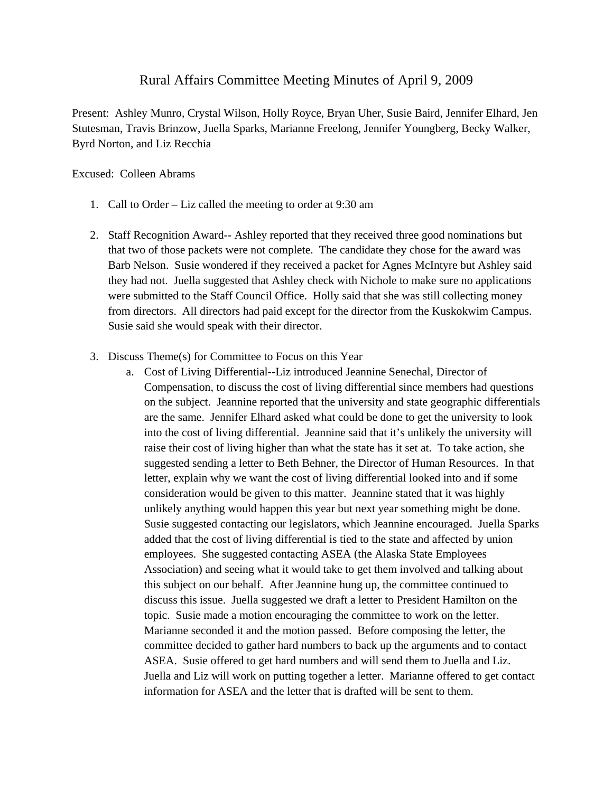## Rural Affairs Committee Meeting Minutes of April 9, 2009

Present: Ashley Munro, Crystal Wilson, Holly Royce, Bryan Uher, Susie Baird, Jennifer Elhard, Jen Stutesman, Travis Brinzow, Juella Sparks, Marianne Freelong, Jennifer Youngberg, Becky Walker, Byrd Norton, and Liz Recchia

## Excused: Colleen Abrams

- 1. Call to Order Liz called the meeting to order at 9:30 am
- 2. Staff Recognition Award-- Ashley reported that they received three good nominations but that two of those packets were not complete. The candidate they chose for the award was Barb Nelson. Susie wondered if they received a packet for Agnes McIntyre but Ashley said they had not. Juella suggested that Ashley check with Nichole to make sure no applications were submitted to the Staff Council Office. Holly said that she was still collecting money from directors. All directors had paid except for the director from the Kuskokwim Campus. Susie said she would speak with their director.
- 3. Discuss Theme(s) for Committee to Focus on this Year
	- a. Cost of Living Differential--Liz introduced Jeannine Senechal, Director of Compensation, to discuss the cost of living differential since members had questions on the subject. Jeannine reported that the university and state geographic differentials are the same. Jennifer Elhard asked what could be done to get the university to look into the cost of living differential. Jeannine said that it's unlikely the university will raise their cost of living higher than what the state has it set at. To take action, she suggested sending a letter to Beth Behner, the Director of Human Resources. In that letter, explain why we want the cost of living differential looked into and if some consideration would be given to this matter. Jeannine stated that it was highly unlikely anything would happen this year but next year something might be done. Susie suggested contacting our legislators, which Jeannine encouraged. Juella Sparks added that the cost of living differential is tied to the state and affected by union employees. She suggested contacting ASEA (the Alaska State Employees Association) and seeing what it would take to get them involved and talking about this subject on our behalf. After Jeannine hung up, the committee continued to discuss this issue. Juella suggested we draft a letter to President Hamilton on the topic. Susie made a motion encouraging the committee to work on the letter. Marianne seconded it and the motion passed. Before composing the letter, the committee decided to gather hard numbers to back up the arguments and to contact ASEA. Susie offered to get hard numbers and will send them to Juella and Liz. Juella and Liz will work on putting together a letter. Marianne offered to get contact information for ASEA and the letter that is drafted will be sent to them.